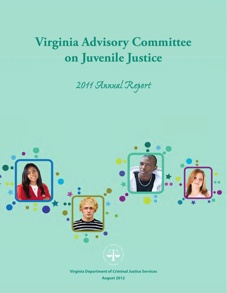# **Virginia Advisory Committee on Juvenile Justice**

# *2011 Annual Report*



**August 2012**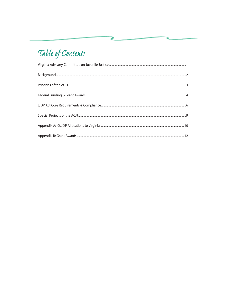## Table of Contents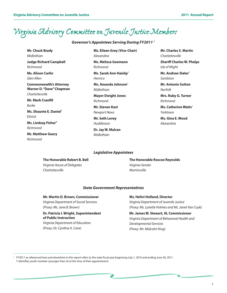### *Virginia Advisory Committee on Juvenile Justice Members*

### *Governor's Appointees Serving During FY2011 <sup>1</sup>*

**Mr. Chuck Brady** *Midlothian* **Judge Richard Campbell** *Richmond* **Ms. Alison Carlin** *Glen Allen* **Commonwealth's Attorney Warner D. "Dave" Chapman**  *Charlottesville* **Mr. Mark Cranfill**  *Burke* **Ms. Shaunte E. Daniel**<sup>Y</sup> *Ettrick*

**Ms. Lindsay FisherY** *Richmond*

**Mr. Matthew Geary**  *Richmond*

### **Ms. Eileen Grey (Vice-Chair)** *Alexandria* **Ms. Melissa Goemann**

*Richmond*

**Ms. Sarah Ann Haislip**<sup>Y</sup> *Henrico*

**Ms. Amanda Johnson**<sup>Y</sup> *Midlothian*

**Mayor Dwight Jones** *Richmond*

**Mr. Steven Kast** *Newport News*

**Mr. Seth Levey** *Huddleston*

**Dr. Jay W. Malcan** *Midlothian*

**Mr. Charles S. Martin** *Charlottesville*

**Sheriff Charles W. Phelps**  *Isle of Wight*

**Mr. Andrew Slater**<sup>Y</sup> *Sandston*

**Mr. Antonio Sutton**  *Norfolk*

**Mrs. Ruby G. Turner** *Richmond*

**Ms. Catherine Watts**<sup>Y</sup> *Yorktown*

**Ms. Gina E. Wood** *Alexandria*

#### *Legislative Appointees*

**The Honorable Robert B. Bell** *Virginia House of Delegates*

*Charlottesville*

**The Honorable Roscoe Reynolds** *Virginia Senate Martinsville*

#### *State Government Representatives*

#### **Mr. Martin D. Brown, Commissioner**

*Virginia Department of Social Services (Proxy: Ms. Jane B. Brown)*

#### **Dr. Patricia I. Wright, Superintendent of Public Instruction** *Virginia Department of Education*

*(Proxy: Dr. Cynthia A. Cave)* 

#### **Ms. Helivi Holland, Director**

*Virginia Department of Juvenile Justice (Proxy: Ms. Lynette Holmes and Ms. Janet Van Cuyk)*

#### **Mr. James W. Stewart, III, Commissioner** *Virginia Department of Behavioral Health and Developmental Services (Proxy: Mr. Malcolm King)*

<sup>1</sup> FY2011 as referenced here and elsewhere in this report refers to the state fiscal year beginning July 1, 2010 and ending June 30, 2011. Y identifies youth member (younger than 24 at the time of their appointment).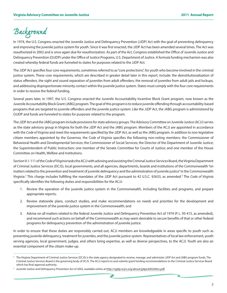### *Background*

In 1974, the U.S. Congress enacted the Juvenile Justice and Delinquency Prevention (JJDP) Act with the goal of preventing delinquency and improving the juvenile justice system for youth. Since it was first enacted, the JJDP Act has been amended several times. The Act was reauthorized in 2002 and is once again due for reauthorization. As part of the Act, Congress established the Office of Juvenile Justice and Delinquency Prevention (OJJDP) under the Office of Justice Programs, U.S. Department of Justice. A formula funding mechanism was also created whereby federal funds are funneled to states for purposes related to the JJDP Act.

The JJDP Act specifies four core requirements, sometimes referred to as "core protections", for youth who become involved in the criminal justice system. These core requirements, which are described in greater detail later in this report, include: the deinstitutionalization of status offenders, the sight and sound separation of juveniles from adult offenders, the removal of juveniles from adult jails and lockups, and addressing disproportionate minority contact within the juvenile justice system. States must comply with the four core requirements in order to receive the federal funding.

Several years later, in 1997, the U.S. Congress enacted the Juvenile Accountability Incentive Block Grant program, now known as the Juvenile Accountability Block Grant (JABG) program. The goal of this program is to reduce juvenile offending through accountability-based programs that are targeted to juvenile offenders and the juvenile justice system. Like the JJDP Act, the JABG program is administered by OJJDP and funds are funneled to states for purposes related to the program.

The JJDP Act and the JABG program include provisions for state advisory groups. The Advisory Committee on Juvenile Justice (ACJJ) serves as the state advisory group in Virginia for both the JJDP Act and the JABG program. Members of the ACJJ are appointed in accordance with the *Code of Virginia* and meet the requirements specified by the JJDP Act, as well as the JABG program. In addition to non-legislative citizen members appointed by the Governor, the *Code of Virginia* specifies the following non-voting members: the Commissioner of Behavioral Health and Developmental Services; the Commissioner of Social Services; the Director of the Department of Juvenile Justice; the Superintendent of Public Instruction; one member of the Senate Committee for Courts of Justice; and one member of the House Committee on Health, Welfare and Institutions.

Section 9.1-111 of the *Code of Virginia* tasks the ACJJ with advising and assisting the Criminal Justice Services Board, the Virginia Department of Criminal Justice Services (DCJS), local governments, and all agencies, departments, boards and institutions of the Commonwealth "on matters related to the prevention and treatment of juvenile delinquency and the administration of juvenile justice" in the Commonwealth Virginia.2 This charge includes fulfilling the mandates of the JJDP Act pursuant to 42 U.S.C. §5633, as amended.3 The *Code of Virginia*  specifically identifies the following duties and responsibilities for the ACJJ:

- 1. Review the operation of the juvenile justice system in the Commonwealth, including facilities and programs, and prepare appropriate reports;
- 2. Review statewide plans, conduct studies, and make recommendations on needs and priorities for the development and improvement of the juvenile justice system in the Commonwealth; and
- 3. Advise on all matters related to the federal Juvenile Justice and Delinquency Prevention Act of 1974 (P. L. 93-415, as amended), and recommend such actions on behalf of the Commonwealth as may seem desirable to secure benefits of that or other federal programs for delinquency prevention of the administration of juvenile justice.

In order to ensure that these duties are responsibly carried out, ACJJ members are knowledgeable in areas specific to youth such as preventing juvenile delinquency, treatment for juveniles, and the juvenile justice system. Representatives of local law enforcement, youth serving agencies, local government, judges, and others bring expertise, as well as diverse perspectives, to the ACJJ. Youth are also an essential component of the citizen make-up.

<sup>&</sup>lt;sup>2</sup> The Virginia Department of Criminal Justice Services (DCJS) is the state agency designated to receive, manage, and administer JJDP Act and JABG program funds. The Criminal Justice Services Board is the governing body of DCJS. The ACJJ reports to and submits grant funding recommendations to the Criminal Justice Services Board which has final approval authority.

<sup>&</sup>lt;sup>3</sup> Juvenile Justice and Delinquency Prevention Act of 2002, available online at <http://ojjdp.ncjrs.org/about/jjdpa2002titlev.pdf>.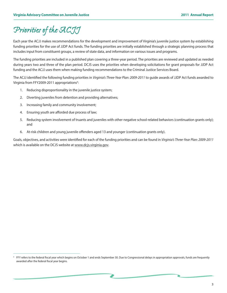### *Priorities of the ACJJ*

Each year the ACJJ makes recommendations for the development and improvement of Virginia's juvenile justice system by establishing funding priorities for the use of JJDP Act funds. The funding priorities are initially established through a strategic planning process that includes input from constituent groups, a review of state data, and information on various issues and programs.

The funding priorities are included in a published plan covering a three-year period. The priorities are reviewed and updated as needed during years two and three of the plan period. DCJS uses the priorities when developing solicitations for grant proposals for JJDP Act funding and the ACJJ uses them when making funding recommendations to the Criminal Justice Services Board.

The ACJJ identified the following funding priorities in *Virginia's Three-Year Plan: 2009-2011* to guide awards of JJDP Act funds awarded to Virginia from FFY2009-2011 appropriations<sup>4</sup>:

- 1. Reducing disproportionality in the juvenile justice system;
- 2. Diverting juveniles from detention and providing alternatives;
- 3. Increasing family and community involvement;
- 4. Ensuring youth are afforded due process of law;
- 5. Reducing system involvement of truants and juveniles with other negative school-related behaviors (continuation grants only); and
- 6. At-risk children and young juvenile offenders aged 13 and younger (continuation grants only).

Goals, objectives, and activities were identified for each of the funding priorities and can be found in *Virginia's Three-Year Plan: 2009-2011*  which is available on the DCJS website at [www.dcjs.virginia.gov](http://www.dcjs.virginia.gov).

FFY refers to the federal fiscal year which begins on October 1 and ends September 30. Due to Congressional delays in appropriation approvals, funds are frequently awarded after the federal fiscal year begins.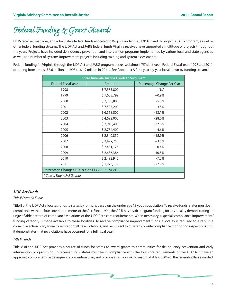### *Federal Funding & Grant Awards*

DCJS receives, manages, and administers federal funds allocated to Virginia under the JJDP Act and through the JABG program, as well as other federal funding streams. The JJDP Act and JABG federal funds Virginia receives have supported a multitude of projects throughout the years. Projects have included delinquency prevention and intervention programs implemented by various local and state agencies, as well as a number of systems improvement projects including training and system assessments.

Federal funding for Virginia through the JJDP Act and JABG program decreased almost 75% between Federal Fiscal Years 1998 and 2011, dropping from almost \$7.6 million in 1998 to \$1.9 million in 2011. [See Appendix A for a year-by-year breakdown by funding stream.]

| Total Juvenile Justice Funds to Virginia *    |             |                            |  |
|-----------------------------------------------|-------------|----------------------------|--|
| <b>Federal Fiscal Year</b>                    | Amount      | Percentage Change Per Year |  |
| 1998                                          | \$7,585,800 | N/A                        |  |
| 1999                                          | \$7,653,799 | $+0.9\%$                   |  |
| 2000                                          | \$7,250,800 | $-5.3%$                    |  |
| 2001                                          | \$7,505,200 | $+3.5%$                    |  |
| 2002                                          | \$6,518,800 | $-13.1%$                   |  |
| 2003                                          | \$4,692,000 | $-28.0%$                   |  |
| 2004                                          | \$2,918,400 | $-37.8%$                   |  |
| 2005                                          | \$2,784,400 | $-4.6%$                    |  |
| 2006                                          | \$2,340,850 | $-15.9%$                   |  |
| 2007                                          | \$2,422,750 | $+3.5%$                    |  |
| 2008                                          | \$2,431,175 | $+0.4%$                    |  |
| 2009                                          | \$2,686,386 | $+10.5%$                   |  |
| 2010                                          | \$2,492,945 | $-7.2%$                    |  |
| 2011                                          | \$1,923,139 | $-22.9%$                   |  |
| Percentage Changes FFY1998 to FFY2011: -74.7% |             |                            |  |
| * Title II, Title V, JABG funds               |             |                            |  |

#### *JJDP Act Funds*

#### *Title II Formula Funds*

Title II of the JJDP Act allocates funds to states by formula, based on the under age 18 youth population. To receive funds, states must be in compliance with the four core requirements of the Act. Since 1994, the ACJJ has restricted grant funding for any locality demonstrating an unjustifiable pattern of compliance violations of the JJDP Act's core requirements. When necessary, a special "compliance improvement" funding category is made available to these localities. To receive compliance improvement funds, a locality is required to establish a corrective action plan, agree to self-report all new violations, and be subject to quarterly on-site compliance monitoring inspections until it demonstrates that no violations have occurred for a full fiscal year.

#### *Title V Funds*

Title V of the JJDP Act provides a source of funds for states to award grants to communities for delinquency prevention and early intervention programming. To receive funds, states must be in compliance with the four core requirements of the JJDP Act, have an approved comprehensive delinquency prevention plan, and provide a cash or in-kind match of at least 50% of the federal dollars awarded.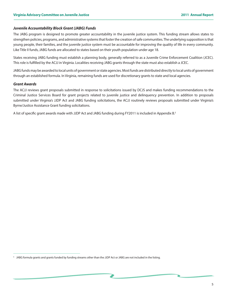#### *Juvenile Accountability Block Grant (JABG) Funds*

The JABG program is designed to promote greater accountability in the juvenile justice system. This funding stream allows states to strengthen policies, programs, and administrative systems that foster the creation of safe communities. The underlying supposition is that young people, their families, and the juvenile justice system must be accountable for improving the quality of life in every community. Like Title II funds, JABG funds are allocated to states based on their youth population under age 18.

States receiving JABG funding must establish a planning body, generally referred to as a Juvenile Crime Enforcement Coalition (JCEC). This role is fulfilled by the ACJJ in Virginia. Localities receiving JABG grants through the state must also establish a JCEC.

JABG funds may be awarded to local units of government or state agencies. Most funds are distributed directly to local units of government through an established formula. In Virginia, remaining funds are used for discretionary grants to state and local agencies.

#### *Grant Awards*

The ACJJ reviews grant proposals submitted in response to solicitations issued by DCJS and makes funding recommendations to the Criminal Justice Services Board for grant projects related to juvenile justice and delinquency prevention. In addition to proposals submitted under Virginia's JJDP Act and JABG funding solicitations, the ACJJ routinely reviews proposals submitted under Virginia's Byrne/Justice Assistance Grant funding solicitations.

A list of specific grant awards made with JJDP Act and JABG funding during FY2011 is included in Appendix B.5

JABG formula grants and grants funded by funding streams other than the JJDP Act or JABG are not included in the listing.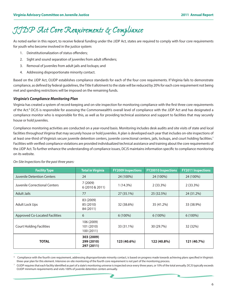### *JJDP Act Core Requirements & Compliance*

As noted earlier in this report, to receive federal funding under the JJDP Act, states are required to comply with four core requirements for youth who become involved in the justice system:

- 1. Deinstitutionalization of status offenders;
- 2. Sight and sound separation of juveniles from adult offenders;
- 3. Removal of juveniles from adult jails and lockups; and
- 4. Addressing disproportionate minority contact.

Based on the JJDP Act, OJJDP establishes compliance standards for each of the four core requirements. If Virginia fails to demonstrate compliance, as defined by federal guidelines, the Title II allotment to the state will be reduced by 20% for each core requirement not being met and spending restrictions will be imposed on the remaining funds.

#### *Virginia's Compliance Monitoring Plan*

Virginia has created a system of record-keeping and on-site inspection for monitoring compliance with the first three core requirements of the Act.6 DCJS is responsible for assessing the Commonwealth's overall level of compliance with the JJDP Act and has designated a compliance monitor who is responsible for this, as well as for providing technical assistance and support to facilities that may securely house or hold juveniles.

Compliance monitoring activities are conducted on a year-round basis. Monitoring includes desk audits and site visits of state and local facilities throughout Virginia that may securely house or hold juveniles. A plan is developed each year that includes on-site inspections of at least one-third of Virginia's secure juvenile detention centers, juvenile correctional centers, jails, lockups, and court holding facilities.<sup>7</sup> Facilities with verified compliance violations are provided individualized technical assistance and training about the core requirements of the JJDP Act. To further enhance the understanding of compliance issues, DCJS maintains information specific to compliance monitoring on its website.

| <b>Facility Type</b>                  | <b>Total in Virginia</b>               | <b>FY2009 Inspections</b> | <b>FY20010 Inspections</b> | <b>FY2011 Inspections</b> |
|---------------------------------------|----------------------------------------|---------------------------|----------------------------|---------------------------|
| <b>Juvenile Detention Centers</b>     | 24                                     | 24 (100%)                 | 24 (100%)                  | 24 (100%)                 |
| Juvenile Correctional Centers         | 7(2009)<br>6 (2010 & 2011)             | 1 (14.3%)                 | 2(33.3%)                   | $2(33.3\%)$               |
| <b>Adult Jails</b>                    | 77                                     | 27 (35.1%)                | 25 (32.5%)                 | 24 (31.2%)                |
| <b>Adult Lock Ups</b>                 | 83 (2009)<br>85 (2010)<br>84 (2011)    | 32 (38.6%)                | 35 (41.2%)                 | 33 (38.9%)                |
| <b>Approved Co-Located Facilities</b> | 6                                      | $6(100\%)$                | $6(100\%)$                 | $6(100\%)$                |
| <b>Court Holding Facilities</b>       | 106 (2009)<br>101 (2010)<br>100 (2011) | 33 (31.1%)                | 30 (29.7%)                 | 32 (32%)                  |
| <b>TOTAL</b>                          | 303 (2009)<br>299 (2010)<br>297 (2011) | 123 (40.6%)               | 122 (40.8%)                | 121 (40.7%)               |

#### *On-Site Inspections for the past three years:*

Compliance with the fourth core requirement, addressing disproportionate minority contact, is based on progress made towards achieving plans specified in Virginia's three-year plan for this element. Intensive on-site monitoring of the fourth core requirement is not part of the monitoring process.

<sup>7</sup> OJJDP requires that each facility identified as part of a state's monitoring universe is inspected once every three years, or 10% of the total annually. DCJS typically exceeds OJJDP minimum requirements and visits 100% of juvenile detention centers annually.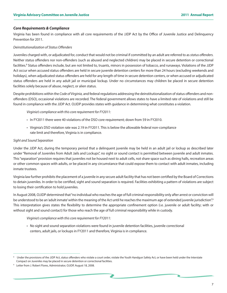#### *Core Requirements & Compliance*

Virginia has been found in compliance with all core requirements of the JJDP Act by the Office of Juvenile Justice and Delinquency Prevention for 2011.

#### *Deinstitutionalization of Status Offenders*

Juveniles charged with, or adjudicated for, conduct that would not be criminal if committed by an adult are referred to as *status offenders.*  Neither status offenders nor non-offenders (such as abused and neglected children) may be placed in secure detention or correctional facilities.<sup>8</sup> Status offenders include, but are not limited to, truants, minors in possession of tobacco, and runaways. Violations of the JJDP Act occur when accused status offenders are held in secure juvenile detention centers for more than 24 hours (excluding weekends and holidays), when adjudicated status offenders are held for any length of time in secure detention centers, or when accused or adjudicated status offenders are held in any adult jail or municipal lockup. Under no circumstances may children be placed in secure detention facilities solely because of abuse, neglect, or alien status.

Despite prohibitions within the *Code of Virginia,* and federal regulations addressing the deinstitutionalization of status offenders and nonoffenders (DSO), occasional violations are recorded. The federal government allows states to have a limited rate of violations and still be found in compliance with the JJDP Act. OJJDP provides states with guidance in determining what constitutes a violation.

*Virginia's compliance with this core requirement for FY2011:*

- In FY2011 there were 40 violations of the DSO core requirement; down from 59 in FY2010.
- Virginia's DSO violation rate was 2.19 in FY2011. This is below the allowable federal non-compliance rate limit and therefore, Virginia is in compliance.

#### *Sight and Sound Separation*

Under the JJDP Act, during the temporary period that a delinquent juvenile may be held in an adult jail or lockup as described later under "Removal of Juveniles from Adult Jails and Lockups", no sight or sound contact is permitted between juvenile and adult inmates. This "separation" provision requires that juveniles not be housed next to adult cells, not share space such as dining halls, recreation areas or other common spaces with adults, or be placed in any circumstance that could expose them to contact with adult inmates, including inmate trustees.

Virginia law further prohibits the placement of a juvenile in any secure adult facility that has not been certified by the Board of Corrections to detain juveniles. In order to be certified, sight and sound separation is required. Facilities exhibiting a pattern of violations are subject to losing their certification to hold juveniles.

In August 2008, OJJDP determined that "no individual who reaches the age of full criminal responsibility only after arrest or conviction will be understood to be an 'adult inmate' within the meaning of the Act until he reaches the maximum age of extended juvenile jurisdiction".<sup>9</sup> This interpretation gives states the flexibility to determine the appropriate confinement option (i.e. juvenile or adult facility; with or without sight and sound contact) for those who reach the age of full criminal responsibility while in custody.

*Virginia's compliance with this core requirement for FY2011:*

• No sight and sound separation violations were found in juvenile detention facilities, juvenile correctional centers, adult jails, or lockups in FY2011 and therefore, Virginia is in compliance.

Under the provisions of the JJDP Act, status offenders who violate a court order, violate the Youth Handgun Safety Act, or have been held under the Interstate Compact on Juveniles may be placed in secure detention or correctional facilities.

<sup>9</sup> Letter from J. Robert Flores, Administrator, OJJDP, August 18, 2008.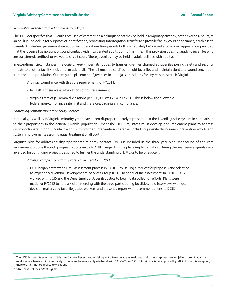#### *Removal of Juveniles from Adult Jails and Lockups*

The JJDP Act specifies that juveniles accused of committing a delinquent act may be held in temporary custody, not to exceed 6 hours, at an adult jail or lockup for purposes of identification, processing, interrogation, transfer to a juvenile facility, court appearance, or release to parents. This federal jail removal exception includes 6-hour time periods both immediately before and after a court appearance, provided that the juvenile has no sight or sound contact with incarcerated adults during this time.10 This provision does not apply to juveniles who are transferred, certified, or waived to circuit court (these juveniles may be held in adult facilities with adults).

In exceptional circumstances, the *Code of Virginia* permits judges to transfer juveniles charged as juveniles posing safety and security threats to another facility, including an adult jail.11 The jail must be certified to hold juveniles and maintain sight and sound separation from the adult population. Currently, the placement of juveniles in adult jails or lock-ups for any reason is rare in Virginia.

Virginia's compliance with this core requirement for FY2011:

- In FY2011 there were 39 violations of this requirement.
- Virginia's rate of jail removal violations per 100,000 was 2.14 in FY2011. This is below the allowable federal non-compliance rate limit and therefore, Virginia is in compliance.

#### *Addressing Disproportionate Minority Contact*

Nationally, as well as in Virginia, minority youth have been disproportionately represented in the juvenile justice system in comparison to their proportions in the general juvenile population. Under the JJDP Act, states must develop and implement plans to address disproportionate minority contact with multi-pronged intervention strategies including juvenile delinquency prevention efforts and system improvements assuring equal treatment of all youth.

Virginia's plan for addressing disproportionate minority contact (DMC) is included in the three-year plan. Monitoring of this core requirement is done through progress reports made to OJJDP regarding the plan's implementation. During the year, several grants were awarded for continuing projects designed to further the understanding of DMC or to help reduce it.

#### *Virginia's compliance with this core requirement for FY2011:*

• DCJS began a statewide DMC assessment process in FY2010 by issuing a request for proposals and selecting an experienced vendor, Developmental Services Group (DSG), to conduct the assessment. In FY2011 DSG worked with DCJS and the Department of Juvenile Justice to begin data collection efforts. Plans were made for FY2012 to hold a kickoff meeting with the three participating localities, hold interviews with local decision makers and juvenile justice workers, and present a report with recommendations to DCJS.

<sup>&</sup>lt;sup>10</sup> The JJDP Act permits extension of this time for juveniles accused of delinquent offenses who are awaiting an initial court appearance in a jail or lockup that is in a rural area or where conditions of safety do not allow for reasonably safe travel (42 U.S.C §5633, sec.223(13B)). Virginia is not approved by OJJDP to use this exception, therefore it cannot be applied to violations.

<sup>11</sup> §16.1-249(E) of the *Code of Virginia.*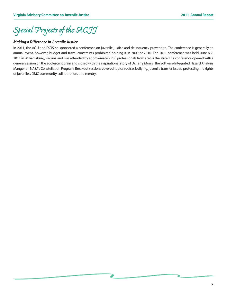*Special Projects of the ACJJ*

#### *Making a Difference in Juvenile Justice*

In 2011, the ACJJ and DCJS co-sponsored a conference on juvenile justice and delinquency prevention. The conference is generally an annual event, however, budget and travel constraints prohibited holding it in 2009 or 2010. The 2011 conference was held June 6-7, 2011 in Williamsburg, Virginia and was attended by approximately 200 professionals from across the state. The conference opened with a general session on the adolescent brain and closed with the inspirational story of Dr. Terry Morris, the Software Integrated Hazard Analysis Manger on NASA's Constellation Program. Breakout sessions covered topics such as bullying, juvenile transfer issues, protecting the rights of juveniles, DMC community collaboration, and reentry.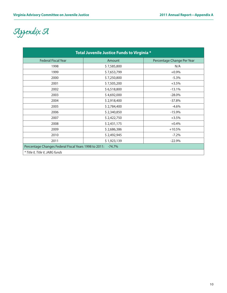*Appendix A*

| Total Juvenile Justice Funds to Virginia *                        |             |                            |
|-------------------------------------------------------------------|-------------|----------------------------|
| <b>Federal Fiscal Year</b>                                        | Amount      | Percentage Change Per Year |
| 1998                                                              | \$7,585,800 | N/A                        |
| 1999                                                              | \$7,653,799 | $+0.9%$                    |
| 2000                                                              | \$7,250,800 | $-5.3%$                    |
| 2001                                                              | \$7,505,200 | $+3.5%$                    |
| 2002                                                              | \$6,518,800 | $-13.1%$                   |
| 2003                                                              | \$4,692,000 | $-28.0%$                   |
| 2004                                                              | \$2,918,400 | $-37.8%$                   |
| 2005                                                              | \$2,784,400 | $-4.6%$                    |
| 2006                                                              | \$2,340,850 | $-15.9%$                   |
| 2007                                                              | \$2,422,750 | $+3.5%$                    |
| 2008                                                              | \$2,431,175 | $+0.4%$                    |
| 2009                                                              | \$2,686,386 | $+10.5%$                   |
| 2010                                                              | \$2,492,945 | $-7.2%$                    |
| 2011                                                              | \$1,923,139 | $-22.9%$                   |
| Percentage Changes Federal Fiscal Years 1998 to 2011:<br>$-74.7%$ |             |                            |
| * Title II, Title V, JABG funds                                   |             |                            |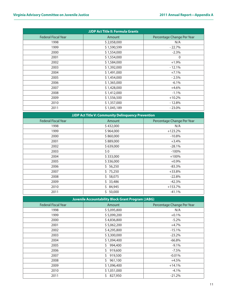| <b>JJDP Act Title II: Formula Grants</b> |             |                            |  |
|------------------------------------------|-------------|----------------------------|--|
| <b>Federal Fiscal Year</b>               | Amount      | Percentage Change Per Year |  |
| 1998                                     | \$2,058,000 | N/A                        |  |
| 1999                                     | \$1,590,599 | $-22.7%$                   |  |
| 2000                                     | \$1,554,000 | $-2.3%$                    |  |
| 2001                                     | \$1,554,000 | $\mathbf 0$                |  |
| 2002                                     | \$1,584,000 | $+1.9%$                    |  |
| 2003                                     | \$1,392,000 | $-12.1%$                   |  |
| 2004                                     | \$1,491,000 | $+7.1%$                    |  |
| 2005                                     | \$1,454,000 | $-2.5%$                    |  |
| 2006                                     | \$1,365,000 | $-6.1%$                    |  |
| 2007                                     | \$1,428,000 | $+4.6%$                    |  |
| 2008                                     | \$1,412,000 | $-1.1%$                    |  |
| 2009                                     | \$1,556,500 | $+10.2%$                   |  |
| 2010                                     | \$1,357,000 | $-12.8%$                   |  |
| 2011                                     | \$1,045,189 | $-23.0%$                   |  |

| JJDP Act Title V: Community Delinquency Prevention |           |                            |  |
|----------------------------------------------------|-----------|----------------------------|--|
| <b>Federal Fiscal Year</b>                         | Amount    | Percentage Change Per Year |  |
| 1998                                               | \$432,000 | N/A                        |  |
| 1999                                               | \$964,000 | $+123.2%$                  |  |
| 2000                                               | \$860,000 | $-10.8\%$                  |  |
| 2001                                               | \$889,000 | $+3.4%$                    |  |
| 2002                                               | \$639,000 | $-28.1%$                   |  |
| 2003                                               | \$0       | $-100%$                    |  |
| 2004                                               | \$333,000 | $+100%$                    |  |
| 2005                                               | \$336,000 | $+0.9\%$                   |  |
| 2006                                               | \$56,250  | $-83.3%$                   |  |
| 2007                                               | \$75,250  | $+33.8%$                   |  |
| 2008                                               | \$58,075  | $-22.8%$                   |  |
| 2009                                               | \$33,486  | $-42.3%$                   |  |
| 2010                                               | \$84,945  | $+153.7%$                  |  |
| 2011                                               | 50,000    | $-41.1%$                   |  |

| <b>Juvenile Accountability Block Grant Program (JABG)</b> |               |                            |  |
|-----------------------------------------------------------|---------------|----------------------------|--|
| <b>Federal Fiscal Year</b>                                | Amount        | Percentage Change Per Year |  |
| 1998                                                      | \$5,095,800   | N/A                        |  |
| 1999                                                      | \$5,099,200   | $+0.1%$                    |  |
| 2000                                                      | \$4,836,800   | $-5.2%$                    |  |
| 2001                                                      | \$5,062,200   | $+4.7%$                    |  |
| 2002                                                      | \$4,295,800   | $-15.1%$                   |  |
| 2003                                                      | \$3,300,000   | $-23.2%$                   |  |
| 2004                                                      | \$1,094,400   | $-66.8%$                   |  |
| 2005                                                      | 994,400       | $-9.1%$                    |  |
| 2006                                                      | 919,600       | $-7.5%$                    |  |
| 2007                                                      | 919,500       | $-0.01%$                   |  |
| 2008                                                      | Ś.<br>961,100 | $+4.5%$                    |  |
| 2009                                                      | \$1,096,400   | $+14.1%$                   |  |
| 2010                                                      | \$1,051,000   | $-4.1%$                    |  |
| 2011                                                      | 827,950<br>Ś. | $-21.2%$                   |  |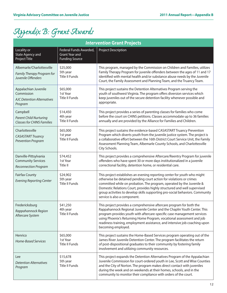# *Appendix B: Grant Awards*

| <b>Intervention Grant Projects</b>                                                 |                                                                          |                                                                                                                                                                                                                                                                                                                                                                                                                       |
|------------------------------------------------------------------------------------|--------------------------------------------------------------------------|-----------------------------------------------------------------------------------------------------------------------------------------------------------------------------------------------------------------------------------------------------------------------------------------------------------------------------------------------------------------------------------------------------------------------|
| Locality or<br><b>State Agency and</b><br>Project Title                            | Federal Funds Awarded,<br><b>Grant Year and</b><br><b>Funding Source</b> | <b>Project Description</b>                                                                                                                                                                                                                                                                                                                                                                                            |
| Albemarle/Charlottesville<br>Family Therapy Program for<br>Juvenile Offenders      | \$25,000<br>5th year<br><b>Title II Funds</b>                            | This program, managed by the Commission on Children and Families, utilizes<br>Family Therapy Program for juvenile offenders between the ages of 11 and 17<br>identified with mental health and/or substance abuse needs by the Juvenile<br>Court, the Family Assessment and Planning Team, and the Truancy Team.                                                                                                      |
| Appalachian Juvenile<br>Commission<br><b>AJC Detention Alternatives</b><br>Program | \$65,000<br>1st Year<br><b>Title II Funds</b>                            | This project sustains the Detention Alternatives Program serving the<br>youth of southwest Virginia. The program offers diversion services which<br>keep juveniles out of the secure detention facility whenever possible and<br>appropriate.                                                                                                                                                                         |
| Campbell<br><b>Parent Child Nurturing</b><br><b>Classes for CHINS Families</b>     | \$14,450<br>4th year<br><b>Title II Funds</b>                            | This project provides a series of parenting classes for families who come<br>before the court on CHINS petitions. Classes accommodate up to 36 families<br>annually and are provided by the Alliance for Families and Children.                                                                                                                                                                                       |
| Charlottesville<br><b>CASASTART Truancy</b><br><b>Prevention Program</b>           | \$65,000<br>1st year<br><b>Title II Funds</b>                            | This project sustains the evidence-based CASASTART Truancy Prevention<br>Program which diverts youth from the juvenile justice system. The project is<br>a collaborative effort between the 16th District Court Service Unit, the Family<br>Assessment Planning Team, Albemarle County Schools, and Charlottesville<br>City Schools.                                                                                  |
| Danville-Pittsylvania<br><b>Community Services</b><br><b>Reconnection Program</b>  | \$74,452<br>1st Year<br>Title II                                         | This project provides a comprehensive Aftercare/Reentry Program for juvenile<br>offenders who have spent 30 or more days institutionalized in a juvenile<br>correctional facility, detention home, or residential care.                                                                                                                                                                                               |
| <b>Fairfax County</b><br><b>Evening Reporting Center</b>                           | \$24,902<br>5th year<br><b>Title II Funds</b>                            | This project establishes an evening reporting center for youth who might<br>otherwise be detained pending court action for violations or crimes<br>committed while on probation. The program, operated by the Juvenile &<br>Domestic Relations Court, provides highly structured and well supervised<br>group activities to develop skills supporting pro-social behaviors. Community<br>service is also a component. |
| Fredericksburg<br>Rappahannock Region<br>Aftercare System                          | \$41,250<br>4th year<br><b>Title II Funds</b>                            | This project provides a comprehensive aftercare program for both the<br>Rappahannock Regional Juvenile Center and the Chaplin Youth Center. This<br>program provides youth with aftercare-specific case management services<br>using Phoenix's Returning Home Program, vocational assessment and job<br>readiness training, employment assistance, and intensive job coaching upon<br>becoming employed.              |
| Henrico<br>Home-Based Services                                                     | \$65,000<br>1st Year<br>Title II Funds                                   | This project sustains the Home-Based Services program operating out of the<br>James River Juvenile Detention Center. The program facilitates the return<br>of post-dispositional graduates to their community by fostering family<br>involvement and utilizing community resources.                                                                                                                                   |
| <b>Lee</b><br><b>Detention Alternatives</b><br>Program                             | \$15,678<br>5th year<br>Title II Funds                                   | This project expands the Detention Alternatives Program of the Appalachian<br>Juvenile Commission for court-ordered youth in Lee, Scott and Wise Counties<br>and the City of Norton. The program makes direct contact with juveniles<br>during the week and on weekends at their homes, schools, and in the<br>community to monitor their compliance with orders of the court.                                        |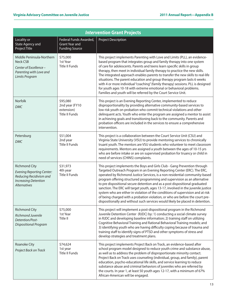| <b>Intervention Grant Projects</b>                                                                                                        |                                                                          |                                                                                                                                                                                                                                                                                                                                                                                                                                                                                                                                                                                                                                                                                                                                             |
|-------------------------------------------------------------------------------------------------------------------------------------------|--------------------------------------------------------------------------|---------------------------------------------------------------------------------------------------------------------------------------------------------------------------------------------------------------------------------------------------------------------------------------------------------------------------------------------------------------------------------------------------------------------------------------------------------------------------------------------------------------------------------------------------------------------------------------------------------------------------------------------------------------------------------------------------------------------------------------------|
| Locality or<br><b>State Agency and</b><br><b>Project Title</b>                                                                            | Federal Funds Awarded,<br><b>Grant Year and</b><br><b>Funding Source</b> | <b>Project Description</b>                                                                                                                                                                                                                                                                                                                                                                                                                                                                                                                                                                                                                                                                                                                  |
| Middle Peninsula-Northern<br><b>Neck CSB</b><br>Center of Excellence -<br>Parenting with Love and<br>Limits Program                       | \$75,000<br>1st Year<br><b>Title II Funds</b>                            | This project implements Parenting with Love and Limits (PLL), an evidence-<br>based program that integrates group and family therapy into one system<br>of care for adolescents. Parents and teens learn specific skills in group<br>therapy, then meet in individual family therapy to practice the new skills.<br>The integrated approach enables parents to transfer the new skills to real-life<br>situations. The parent education and group therapy program lasts 6 weeks<br>with 4 or more individual "coaching" (family therapy) sessions. PLL is designed<br>for youth ages 10-18 with extreme emotional or behavioral problems.<br>Families and youth will be referred by the Court Service Unit.                                 |
| Norfolk<br><b>DMC</b>                                                                                                                     | \$95,080<br>2nd year (FY10<br>extension)<br><b>Title II Funds</b>        | This project is an Evening Reporting Center, implemented to reduce<br>disproportionality by providing alternative community-based services to<br>low risk youth on probation who commit technical violations and other<br>delinquent acts. Youth who enter the program are assigned a mentor to assist<br>in achieving goals and transitioning back to the community. Parents and<br>probation officers are included in the services to ensure a comprehensive<br>intervention.                                                                                                                                                                                                                                                             |
| Petersburg<br><b>DMC</b>                                                                                                                  | \$51,004<br>2nd year<br><b>Title II Funds</b>                            | This project is a collaboration between the Court Service Unit (CSU) and<br>Virginia State University (VSU) to provide mentoring services to chronically<br>truant youth. The mentors are VSU students who volunteer to meet classroom<br>requirements. Mentors are assigned a youth between the ages of 10-15 yrs<br>who are before intake or are on supervised probation for truancy or child in<br>need of services (CHINS) complaints.                                                                                                                                                                                                                                                                                                  |
| <b>Richmond City</b><br><b>Evening Reporting Center:</b><br>Reducing Recidivism and<br><b>Increasing Detention</b><br><b>Alternatives</b> | \$31,973<br>4th year<br><b>Title II Funds</b>                            | This project implements the Boys and Girls Club - Gang Prevention through<br>Targeted Outreach Program in an Evening Reporting Center (ERC). The ERC,<br>operated by Richmond Justice Services, is a non-residential community-based<br>program offering structured programming and supervision as an alternative<br>to pre dispositional secure detention and as a post dispositional graduated<br>sanction. The ERC will target youth, ages 13-17, involved in the juvenile justice<br>system who are either in violation of the conditions of supervision and at risk<br>of being charged with a probation violation, or who are before the court pre-<br>dispositionally and without such services would likely be placed in detention. |
| <b>Richmond City</b><br>Richmond Juvenile<br>Detention/Post-<br><b>Dispositional Program</b>                                              | \$75,000<br>1st Year<br>Title II                                         | This project will implement a post-dispositional program in the Richmond<br>Juvenile Detention Center (RJDC) by: 1) conducting a social climate survey<br>in RJDC and developing baseline information; 2) training staff on utilizing<br>Cognitive Behavioral Training and Rational Behavioral Training models; and<br>3) identifying youth who are having difficulty coping because of trauma and<br>training staff to identify signs of PTSD and other symptoms of stress and<br>develop strategies and treatment plans.                                                                                                                                                                                                                  |
| Roanoke City<br>Project Back on Track                                                                                                     | \$74,624<br>1st year<br><b>Title II Funds</b>                            | This project implements Project Back on Track, an evidence-based after<br>school program model designed to reduce youth crime and substance abuse,<br>as well as to address the problem of disproportionate minority contact.<br>Project Back on Track uses counseling (individual, group, and family), parent<br>education, psycho-educational life skills, and service learning to reduce<br>substance abuse and criminal behaviors of juveniles who are referred by<br>the courts. In year 1, at least 50 youth ages 12-17, with a minimum of 67%<br>African-American will be engaged.                                                                                                                                                   |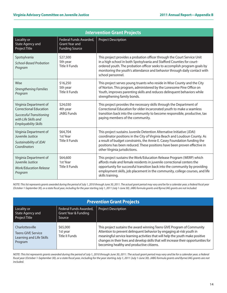| <b>Intervention Grant Projects</b>                                                                                                                |                                                                          |                                                                                                                                                                                                                                                                                                                                                 |  |
|---------------------------------------------------------------------------------------------------------------------------------------------------|--------------------------------------------------------------------------|-------------------------------------------------------------------------------------------------------------------------------------------------------------------------------------------------------------------------------------------------------------------------------------------------------------------------------------------------|--|
| Locality or<br><b>State Agency and</b><br>Project Title                                                                                           | Federal Funds Awarded,<br><b>Grant Year and</b><br><b>Funding Source</b> | <b>Project Description</b>                                                                                                                                                                                                                                                                                                                      |  |
| Spotsylvania<br><b>School-Based Probation</b><br>Program                                                                                          | \$27,500<br>5th year<br><b>Title II Funds</b>                            | This project provides a probation officer through the Court Service Unit<br>in a high school in both Spotsylvania and Stafford Counties for court-<br>ordered youth. The probation officer seeks to accomplish program goals by<br>monitoring the youth's attendance and behavior through daily contact with<br>school personnel.               |  |
| Wise<br><b>Strengthening Families</b><br>Program                                                                                                  | \$16,250<br>5th year<br><b>Title II Funds</b>                            | This project serves young truants who reside in Wise County and the City<br>of Norton. This program, administered by the Lonesome Pine Office on<br>Youth, improves parenting skills and reduces delinquent behaviors while<br>strengthening family bonds.                                                                                      |  |
| Virginia Department of<br><b>Correctional Education</b><br><b>Successful Transitioning</b><br>with Life Skills and<br><b>Employability Skills</b> | \$24,030<br>4th year<br><b>JABG Funds</b>                                | This project provides the necessary skills through the Department of<br>Correctional Education for older incarcerated youth to make a seamless<br>transition back into the community to become responsible, productive, tax<br>paying members of the community.                                                                                 |  |
| Virginia Department of<br>Juvenile Justice<br>Sustainability of JDAI<br>Coordinators                                                              | \$64,704<br>1st Year<br><b>Title II Funds</b>                            | This project sustains Juvenile Detention Alternative Initiative (JDAI)<br>coordinator positions in the City of Virginia Beach and Loudoun County. As<br>a result of budget constraints, the Annie E. Casey Foundation funding the<br>positions has been reduced. These positions have been proven effective in<br>other Virginia jurisdictions. |  |
| Virginia Department of<br>Juvenile Justice<br><b>Work/Education Release</b><br>Program                                                            | \$64,600<br>1st Year<br><b>Title II Funds</b>                            | This project sustains the Work/Education Release Program (WERP) which<br>affords male and female residents in juvenile correctional centers the<br>opportunity for successful transition back into the community by providing<br>employment skills, job placement in the community, college courses, and life<br>skills training.               |  |

*NOTE: This list represents grants awarded during the period of July 1, 2010 through June 30, 2011. The actual grant period may vary and be for a calendar year, a federal fiscal year (October 1-September 30), or a state fiscal year, including for the year starting July 1, 2011 (July 1-June 30). JABG formula grants and Byrne/JAG grants are not included.*

| <b>Prevention Grant Projects</b>                                                    |                                                          |                                                                                                                                                                                                                                                                                                                                                                        |
|-------------------------------------------------------------------------------------|----------------------------------------------------------|------------------------------------------------------------------------------------------------------------------------------------------------------------------------------------------------------------------------------------------------------------------------------------------------------------------------------------------------------------------------|
| Locality or<br>State Agency and<br>Project Title                                    | Federal Funds Awarded,<br>Grant Year & Funding<br>Source | <b>Project Description</b>                                                                                                                                                                                                                                                                                                                                             |
| Charlottesville<br><b>Teens GIVE Service</b><br>Learning and Life Skills<br>Program | \$65,000<br>1st year<br>Title II Funds                   | This project sustains the award winning Teens GIVE Program of Community<br>Attention to prevent delinquent behavior by engaging at-risk youth in<br>meaningful service learning activities that will help the youth make positive<br>changes in their lives and develop skills that will increase their opportunities for<br>becoming healthy and productive citizens. |

*NOTE: This list represents grants awarded during the period of July 1, 2010 through June 30, 2011. The actual grant period may vary and be for a calendar year, a federal fiscal year (October 1-September 30), or a state fiscal year, including for the year starting July 1, 2011 (July 1-June 30). JABG formula grants and Byrne/JAG grants are not included.*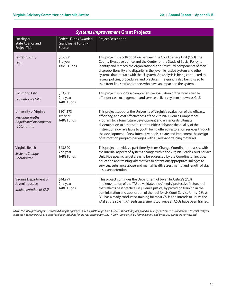| <b>Systems Improvement Grant Projects</b>                                                      |                                                          |                                                                                                                                                                                                                                                                                                                                                                                                                                                                                                                                                         |  |
|------------------------------------------------------------------------------------------------|----------------------------------------------------------|---------------------------------------------------------------------------------------------------------------------------------------------------------------------------------------------------------------------------------------------------------------------------------------------------------------------------------------------------------------------------------------------------------------------------------------------------------------------------------------------------------------------------------------------------------|--|
| Locality or<br><b>State Agency and</b><br>Project Title                                        | Federal Funds Awarded,<br>Grant Year & Funding<br>Source | Project Description                                                                                                                                                                                                                                                                                                                                                                                                                                                                                                                                     |  |
| <b>Fairfax County</b><br><b>DMC</b>                                                            | \$65,000<br>3rd year<br><b>Title II Funds</b>            | This project is a collaboration between the Court Service Unit (CSU), the<br>County Executive's office and the Center for the Study of Social Policy to<br>identify and remedy the organizational and structural components of racial<br>disproportionality and disparity in the juvenile justice system and other<br>systems that interact with the JJ system. An analysis is being conducted to<br>review policies, procedures, and practices. The grant is also being used to<br>train front line staff and others who have an impact on the system. |  |
| <b>Richmond City</b><br><b>Evaluation of GILS</b>                                              | \$33,750<br>2nd year<br><b>JABG Funds</b>                | This project supports a comprehensive evaluation of the local juvenile<br>offender case management and service delivery system known as GILS.                                                                                                                                                                                                                                                                                                                                                                                                           |  |
| University of Virginia<br><b>Restoring Youths</b><br>Adjudicated Incompetent<br>to Stand Trial | \$101,173<br>4th year<br><b>JABG Funds</b>               | This project supports the University of Virginia's evaluation of the efficacy,<br>efficiency, and cost effectiveness of the Virginia Juvenile Competence<br>Program to: inform future development and enhance its ultimate<br>dissemination to other state communities; enhance the quality of the<br>instruction now available to youth being offered restoration services through<br>the development of new interactive tools; create and implement the design<br>of restoration program packages with all relevant training materials.               |  |
| Virginia Beach<br><b>Systems Change</b><br>Coordinator                                         | \$43,820<br>2nd year<br><b>JABG Funds</b>                | This project provides a part-time Systems Change Coordinator to assist with<br>the internal aspects of systems change within the Virginia Beach Court Service<br>Unit. Five specific target areas to be addressed by the Coordinator include:<br>education and training; alternatives to detention; appropriate linkages to<br>services; substance abuse and mental health assessments; and length of stay<br>in secure detention.                                                                                                                      |  |
| Virginia Department of<br>Juvenile Justice<br>Implementation of YASI                           | \$44,999<br>2nd year<br><b>JABG Funds</b>                | This project continues the Department of Juvenile Justice's (DJJ)<br>implementation of the YASI, a validated risk/needs/ protective factors tool<br>that reflects best practices in juvenile justice, by providing training in the<br>administration and application of the tool for six Court Service Units (CSUs).<br>DJJ has already conducted training for most CSUs and intends to utilize the<br>YASI as the sole risk/needs assessment tool once all CSUs have been trained.                                                                     |  |

*NOTE: This list represents grants awarded during the period of July 1, 2010 through June 30, 2011. The actual grant period may vary and be for a calendar year, a federal fiscal year (October 1-September 30), or a state fiscal year, including for the year starting July 1, 2011 (July 1-June 30). JABG formula grants and Byrne/JAG grants are not included.*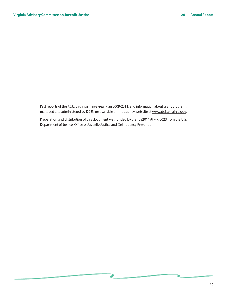Past reports of the ACJJ, Virginia's Three-Year Plan 2009-2011, and information about grant programs managed and administered by DCJS are available on the agency web site at [www.dcjs.virginia.gov](http://www.dcjs.virginia.gov).

Preparation and distribution of this document was funded by grant #2011-JF-FX-0023 from the U.S. Department of Justice, Office of Juvenile Justice and Delinquency Prevention